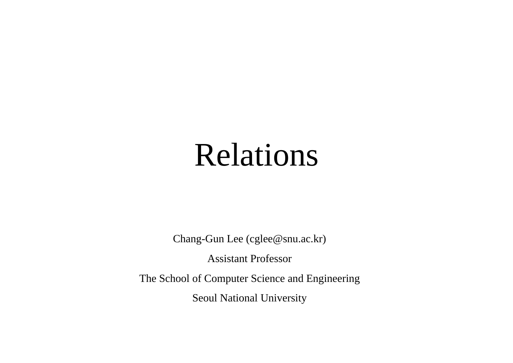# Relations

Chang-Gun Lee (cglee@snu.ac.kr)

Assistant Professo r

The School of Computer Science and Engineering

Seoul National University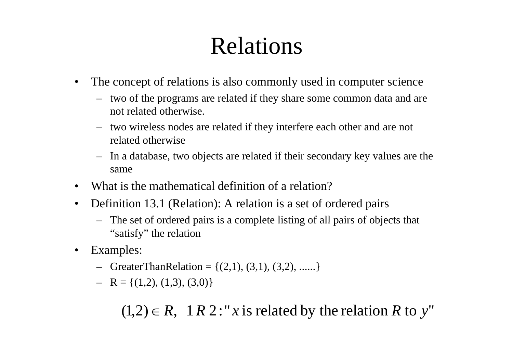# Relations

- $\bullet$  The concept of relations is also commonly used in computer science
	- two of the programs are related if they share some common data and are not related otherwise.
	- two wireless nodes are related if they interfere each other and are not related otherwise . . . . . . . .
	- – In a database, two objects are related if their secondary key values are the same
- What is the mathematical definition of a relation?
- • Definition 13.1 (Relation): A relation is a set of ordered pairs
	- The set of ordered pairs is <sup>a</sup> complete listing of all pairs of objects that "satisfy" the relation
- $\bullet$  Examples:
	- $-$  G reater Than Relation = { $(2,1)$ ,  $(3,1)$ ,  $(3,2)$ , ......}
	- $-$  R = {(1,2), (1,3), (3,0)}

 $(1,2) \in R$ , 1 *R* 2 : "*x* is related by the relation *R* to *y*"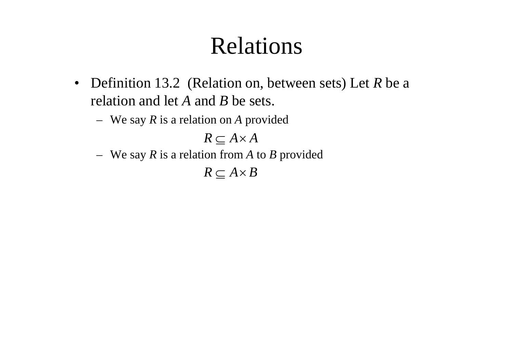# Relations

- Definition 13.2 (Relation on, between sets) Let *R* be a relation and let A and B be sets.
	- We say *R* is a relation on *A* provided

 $R \subseteq A \times A$ 

We say *R* is a relation from *A* to *B* provided

 $R \subseteq A \times B$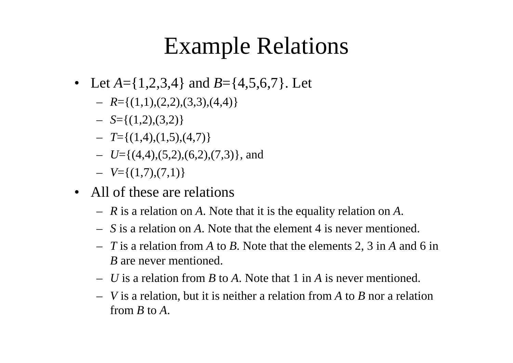# Example Relations

- Let  $A = \{1,2,3,4\}$  and  $B = \{4,5,6,7\}$ . Let
	- $-$  *R*={(1,1),(2,2),(3,3),(4,4)}
	- *S*={(1,2),(3,2)}
	- *T*={(1,4),(1,5),(4,7)}
	- *U*={(4,4),(5,2),(6,2),(7,3)}, and
	- *V*={(1,7),(7,1)}
- All of these are relations
	- *R* is a relation on *A*. Note that it is the equality relation on *A*.
	- *S* is a relation on *A*. Note that the element 4 is never mentioned.
	- *T* is a relation from *A* to *B*. Note that the elements 2, 3 in *A* and 6 in *B* are never mentioned.
	- *U* is a relation from *B* to *A*. Note that 1 in *A* is never mentioned.
	- *V* is a relation, but it is neither a relation from *A* to *B* nor a relation from *B* to *A*.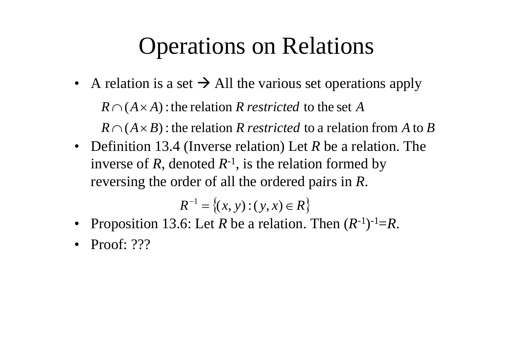# Operations on Relations

- A relation is a set  $\rightarrow$  All the various set operations apply  $R \cap (A \times B)$  : the relation  $R$  *restricted* to a relation from  $A$  to  $B$  $R \cap (A \times A)$ : the relation R *restricted* to the set A
- Definition 13.4 (Inverse relation) Let *R* be a relation. The inverse of *R*, denoted  $R^{-1}$ , is the relation formed by reversing the order of all the ordered pairs in R.

$$
R^{-1} = \{(x, y) : (y, x) \in R\}
$$

- •• Proposition 13.6: Let *R* be a relation. Then  $(R^{-1})^{-1} = R$ .
- •Proof: ???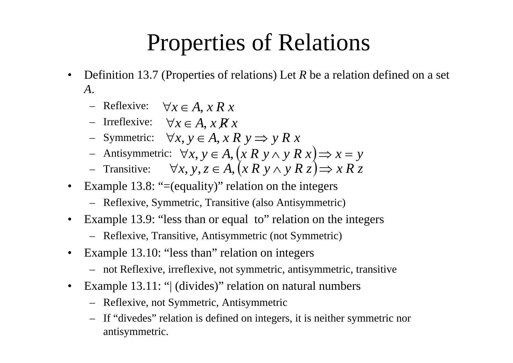### Properties of Relations

- • Definition 13.7 (Properties of relations) Let *R* be a relation defined on a set *A*.
	- − Reflexive:  $\forall x \in A, x \in R$
	- $\vdash$  Irreflexive: ∀*x* ∈ *A*, *x R x*
	- $\vdash$  Symmetric: ∀*x*,  $y \in A$ , *x* R  $y \implies y R x$
	- − Antisymmetric:  $\forall x, y \in A, (x R y ∧ y R x) \Rightarrow x = y$
	- *→* Transitive:  $\forall x, y, z \in A, (x R y ∧ y R z) \Rightarrow x R z$
- •Example 13.8: "=(equality)" relation on the integers
	- Reflexive, Symmetric, Transitive (also Antisymmetric)
- •• Example 13.9: "less than or equal to" relation on the integers
	- Reflexive, Transitive, Antisymmetric (not Symmetric)
- •Example 13.10: "less than" relation on integers
	- not Reflexive, irreflexive, not symmetric, antisymmetric, transitive
- •Example 13.11: " (divides)" relation on natural numbers
	- Reflexive, not Symmetric, Antisymmetric
	- If "divedes" relation is defined on integers, it is neither symmetric nor antisymmetric.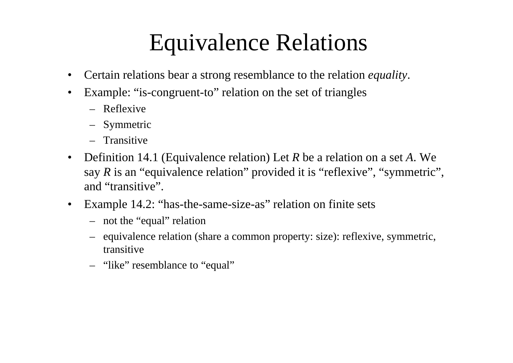### Equivalence Relations

- •Certain relations bear a strong resemblance to the relation *equality*.
- •Example: "is-congruent-to" relation on the set of triangles
	- Reflexive
	- Symmetric
	- Transitive
- • Definition 14.1 (Equivalence relation) Let *R* be a relation on a set *A*. We say R is an "equivalence relation" provided it is "reflexive", "symmetric", and "transitive".
- •Example 14.2: "has-the-same-size-as" relation on finite sets
	- not the "equal " relation
	- equivalence relation (share a common property: size): reflexive, symmetric, transitive
	- "like" resemblance to "equal"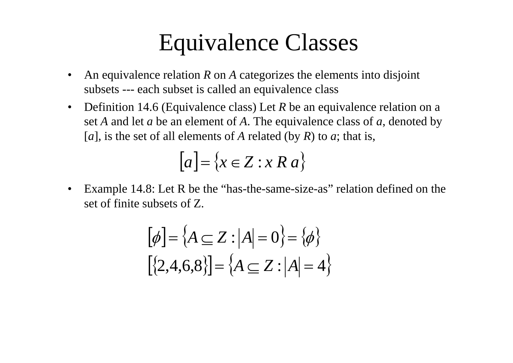#### Equivalence Classes

- •An equivalence relation R on A categorizes the elements into disjoint subsets --- each subset is called an equivalence class
- $\bullet$  Definition 14.6 (Equivalence class) Let *R* be an equivalence relation on a set *A* and let *a* be an element of *A*. The equivalence class of *<sup>a</sup>*, denoted by [*a*], is the set of all elements of A related (by R) to *a*; that is,

$$
[a] = \{x \in Z : x R a\}
$$

• Example 14.8: Let R be the "has-the-same-size-as" relation defined on the set of finite subsets of Z.

$$
[\phi] = \{A \subseteq Z : |A| = 0\} = \{\phi\}
$$

$$
[\{2, 4, 6, 8\}] = \{A \subseteq Z : |A| = 4\}
$$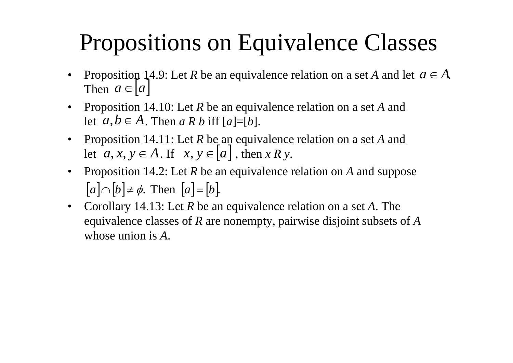# Propositions on Equivalence Classes

- •Proposition 14.9: Let R be an equivalence relation on a set A and let  $a \in A$ . Then  $a \in [a]$
- • Proposition 14.10: Let *R* be an equivalence relation on a set *A* and let  $a, b \in A$ . Then  $a R b$  iff  $[a]=[b]$ .
- •• Proposition 14.11: Let R be an equivalence relation on a set A and Proposition 14.11: Let *R* be an equivalence relation on a set let  $a, x, y \in A$ . If  $x, y \in [a]$ , then *x R y*.
- • Proposition 14.2: Let *R* be an equivalence relation on *A* and suppose  $[a] \cap [b] \neq \emptyset$ . Then  $[a] = [b]$ .
- Corollary 14.13: Let *R* be an equivalence relation on a set *A*. The equivalence classes of *R* are nonempty pairwise disjoint subsets of *A* equivalence classes of  $R$  are nonempty, pairwise disjoint subsets of<br>whose union is  $A$ . whose union is A.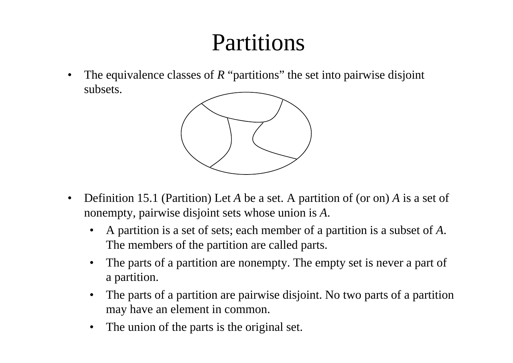# Partitions

•The equivalence classes of *R* "partitions" the set into pairwise disjoint subsets.



- $\bullet$  Definition 15.1 (Partition) Let *A* be a set. A partition of (or on) *A* is a set of nonempty, pairwise disjoint sets whose union is *A*.
	- $\bullet$  A partition is a set of sets; each member of a partition is a subset of *A*. The members of the partition are called parts.
	- •The parts of a partition are nonempty. The empty set is never a part of a partition.
	- • The parts of a partition are pairwise disjoint. No two parts of a partition may have an element in common.
	- •The union of the parts is the original set.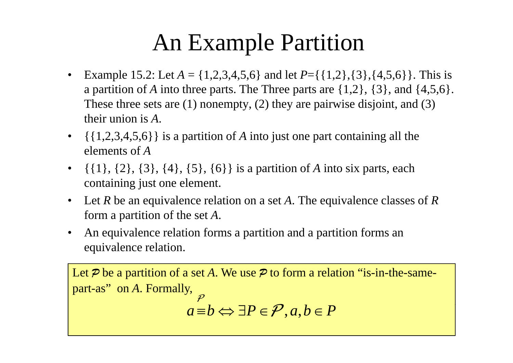# An Example Partition

- •Example 15.2: Let  $A = \{1,2,3,4,5,6\}$  and let  $P = \{\{1,2\},\{3\},\{4,5,6\}\}\$ . This is a partition of A into three parts. The Three parts are  $\{1,2\}$ ,  $\{3\}$ , and  $\{4,5,6\}$ . These three sets are (1) nonempt y, (2) the y are pairwise disjoint, and (3) their union is *A*.
- ••  $\{\{1,2,3,4,5,6\}\}\$ is a partition of A into just one part containing all the elements of *A*
- $\bullet$  {{1}, {2}, {3}, {4}, {5}, {6}} is a partition of *A* into six parts, each containing just one element.
- • Let *R* be an equivalence relation on a set *A*. The equivalence classes of *R* form a partition of the set *A*.
- • An equivalence relation forms a partition and a partition forms an equivalence relation.

Let *P* be a partition of a set *A*. We use *P* to form a relation "is-in-the-samepart-as" on *A*. Formally, *a*≡ $b$   $\Leftrightarrow$  ∃ $P \in \mathcal{P}, a, b \in P$ *P*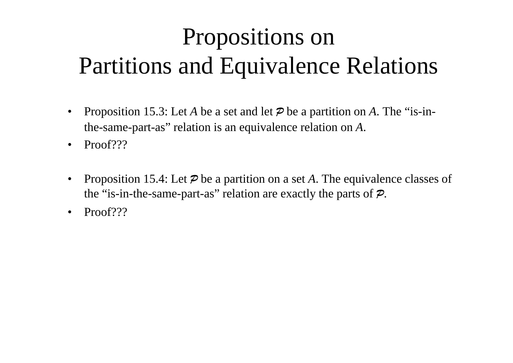# Propositions on Partitions and Equivalence Relations

- • Proposition 15.3: Let *A* be a set and let *P* be a partition on *A*. The "is-inthe-same-part-as" relation is an equivalence relation on *A*.
- •Proof???
- •• Proposition 15.4: Let  $\mathcal P$  be a partition on a set A. The equivalence classes of the "is-in-the-same-part-as" relation are exactly the parts of *P*.
- •Proof???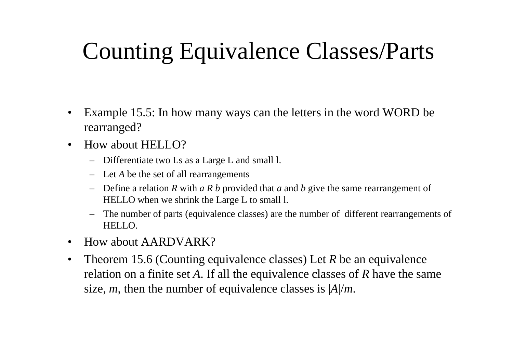# Counting Equivalence Classes/Parts

- • Example 15.5: In how many ways can the letters in the word WORD be rearranged?
- • How about HELLO?
	- Differentiate two Ls as a Large L and small l.
	- Let *A* be the set of all rearrangements
	- Define a relation *R* with *a R b* provided that *a* and *b* give the same rearrangement of HELLO when we shrink the Large L to small l.
	- – The number of parts (equivalence classes) are the number of different rearrangements of HELLO.
- •How about AARDVARK?
- •Theorem 15.6 (Counting equivalence classes) Let  $R$  be an equivalence relation on a finite set *A*. If all the equivalence classes of *R* have the same size, *<sup>m</sup>*, then the number of equivalence classes is | *A*|/ *m*.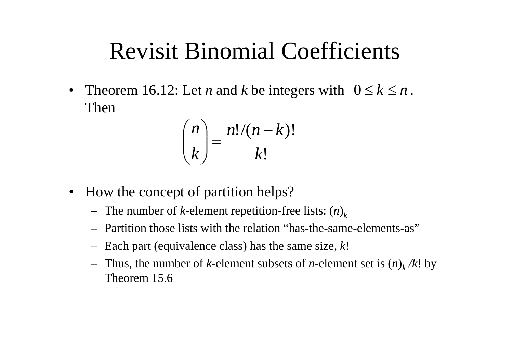#### Revisit Binomial Coefficients

 $\bullet$ Theorem 16.12: Let *n* and *k* be integers with  $0 \le k \le n$ . Then

$$
\binom{n}{k} = \frac{n!/(n-k)!}{k!}
$$

- How the concept of partition helps?
	- The number of *k*-element repetition-free lists: ( *n* ) *k*
	- Partition those lists with the relation "has-the-same-elements-as"
	- Each part (equivalence class) has the same size, *k*!
	- $-$  Thus, the number of *k*-element subsets of *n*-element set is  $(n)_k/k!$  by Theorem 15.6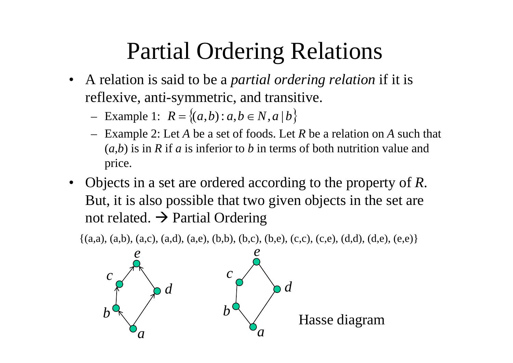# Partial Ordering Relations

- • A relation is said to be a *partial ordering relation* if it is reflexive, anti-symmetric, and transitive.
	- Example 1:  $R = \{(a, b) : a, b \in N, a \mid b\}$
	- Exam ple 2: Let *A* be a set of foods. Let *R* be a relation on *A* such that p  $(a,b)$  is in R if a is inferior to b in terms of both nutrition value and price.
- •• Objects in a set are ordered according to the property of R. But, it is also possible that two given objects in the set are not related.  $\rightarrow$  Partial Ordering

 $\{(a,a), (a,b), (a,c), (a,d), (a,e), (b,b), (b,c), (b,e), (c,c), (c,e), (d,d), (d,e), (e,e)\}\$ 

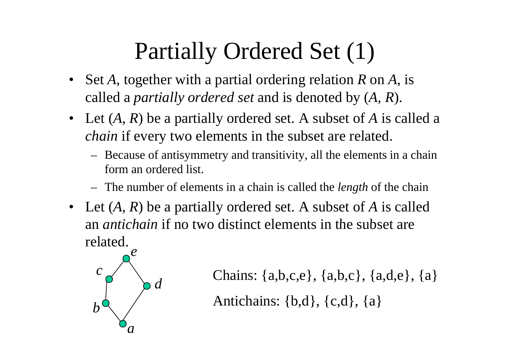# Partially Ordered Set (1)

- • Set *A*, together with a partial ordering relation *R* on *A*, is called <sup>a</sup> *partially ordered set* and is denoted by ( *A*, *R* ).
- Let  $(A, R)$  be a partially ordered set. A subset of A is called a *chain* if every two elements in the subset are related.
	- Because of antisymmetry and transitivity, all the elements in a chain form an ordered list.
	- The number of elements in a chain is called the *len gth* of the chain
- Let  $(A, R)$  be a partially ordered set. A subset of A is called an *antichain* if no two distinct elements in the subset are related.



```
 Chains: {a,b,c,e}, {a,b,c}, {a,d,e}, {a} 
b^{\mathsf{d}} Antichains: {b,d}, {c,d}, {a}
```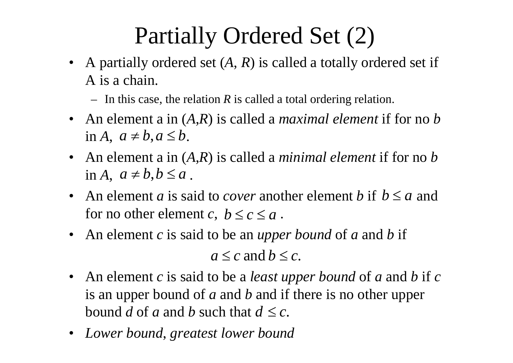# Partially Ordered Set (2)

- A partially ordered set  $(A, R)$  is called a totally ordered set if A is a chain.
	- $-$  In this case, the relation R is called a total ordering relation.
- An element a in (*A*,*R*) is called a *maximal element* if for no *b*  $\text{in } A, \ a \neq b, a \leq b.$
- $\bullet$  An element a in (*A*,*R*) is called a *minimal element* if for no *b*  $\text{in } A, \ a \neq b, b \leq a.$
- An element *a* is said to *cover* another element *b* if  $b \le a$  and for no other element *c*,  $b \le c \le a$ .
- An element c is said to be an *upper bound* of a and b if *a*≤*c* and*b*≤*c*.
- $\bullet$  An element *c* is said to be a *least upper bound* of *a* and *b* if *c* is an upper bound of *a* and *b* and if there is no other upper bound *d* of *a* and *b* such that  $d \leq c$ .
- $\bullet$ *Lower bound*, *greatest lower bound*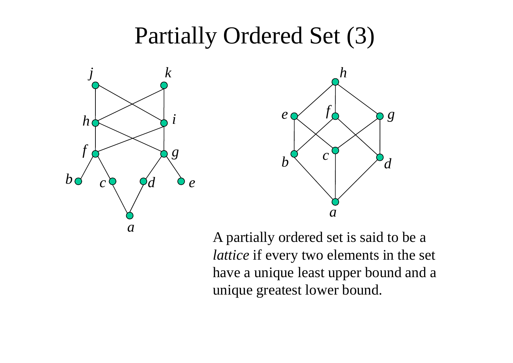#### Partially Ordered Set (3)





A partially ordered set is said to be a *lattice* if every two elements in the set have a unique least upper bound and a unique greatest lower bound.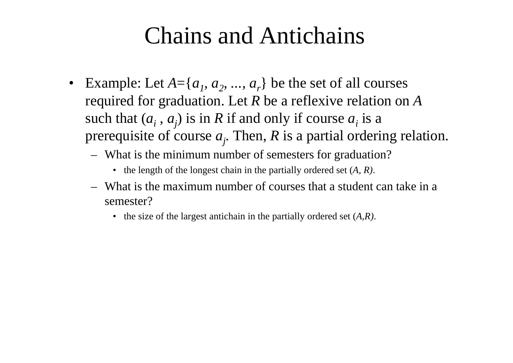# Chains and Antichains

- Example: Let  $A = \{a_1, a_2, ..., a_r\}$  be the set of all courses required for graduation. Let  $R$  be a reflexive relation on  $A$ such that  $(a_i, a_j)$  is in R if and only if course  $a_i$  is a prerequisite of course  $a_j$ . Then, R is a partial ordering relation.
	- What is the minimum number of semesters for graduation?
		- the length of the longest chain in the partially ordered set (*A, R)*.
	- What is the maximum number of courses that a student can take in a semester?
		- the size of the largest antichain in the partially ordered set (*A,R)*.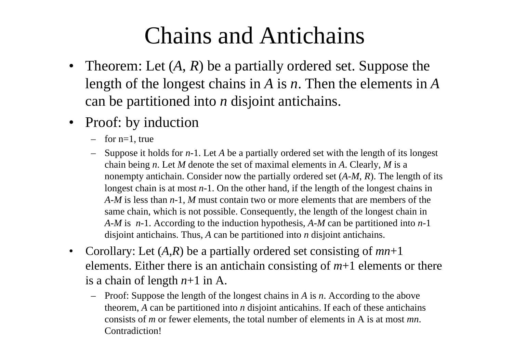# Chains and Antichains

- Theorem: Let  $(A, R)$  be a partially ordered set. Suppose the length of the longest chains in *A* is *n*. Then the elements in *A* can be partitioned into *n* disjoint antichains.
- Proof: by induction
	- –for  $n-1$ , true
	- Suppose it holds for *n*-1. Let *A* be a partially ordered set with the length of its longest chain being *n*. Let *M* denote the set of maximal elements in *A*. Clearly, *M* is a nonempty antichain. Consider now the partially ordered set (*A-M, R*). The length of its longest chain is at most *n*-1. On the other hand, if the length of the longest chains in *A-M* is less than *<sup>n</sup>*-1, *M* must contain two or more elements that are members of the same chain, which is not possible. Consequently, the length of the longest chain in *A-M* is *n*-1. According to the induction hypothesis, *A-M* can be partitioned into *n*-1 disjoint antichains. Thus, *A* can be partitioned into *n* disjoint antichains.
- • Corollary: Let (*A*,*R*) be a partially ordered set consisting of *mn*+1 elements. Either there is an antichain consisting of  $m+1$  elements or there is a chain of length *n*+1 in A.
	- Proof: Suppose the length of the longest chains in *A* is *<sup>n</sup>*. According to the above theorem, A can be partitioned into  $n$  disjoint anticahins. If each of these antichains consists of *m* or fewer elements, the total number of elements in A is at most *mn*. Contradiction!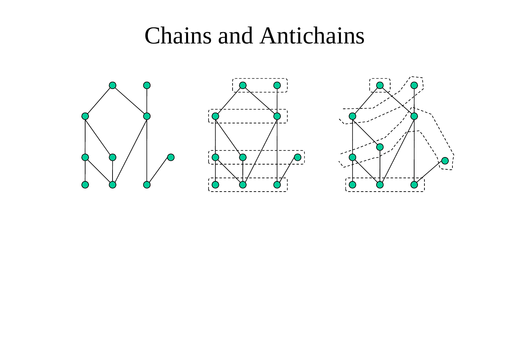#### Chains and Antichains





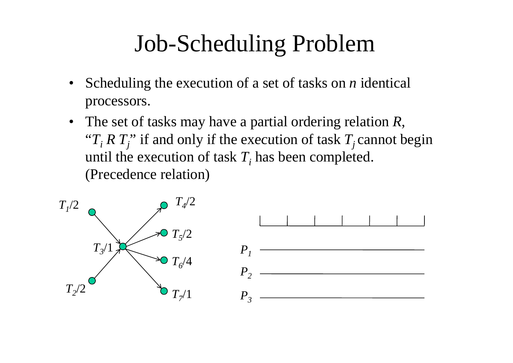# Job-Scheduling Problem

- • Scheduling the execution of a set of tasks on *n* identical processors.
- The set of tasks may have a partial ordering relation *R*, "" $T_i R T_j$ " if and only if the execution of task  $T_j$  cannot begin until the execution of task  $T_i$  has been completed. (Precedence relation)

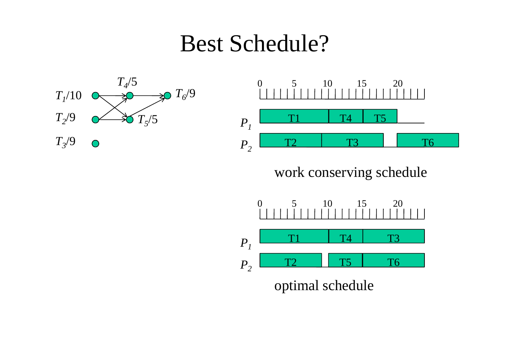#### Best Schedule?





work conserving schedule



optimal schedule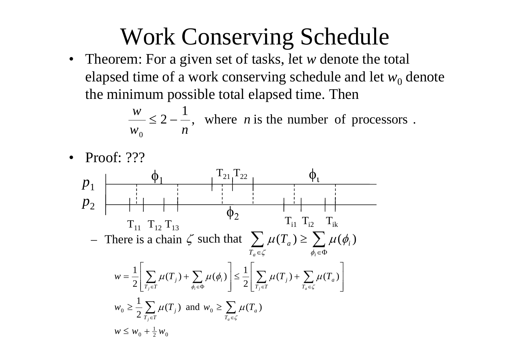# Work Conserving Schedule

• Theorem: For a given set of tasks, let w denote the total elapsed time of a work conserving schedule and let  $w_0$  denote the minimum possible total elapsed time. Then

> $2 - \frac{1}{n}$ , where *n* is the number of processors.  $W^{}_{0}$ *n* $\frac{w}{w} \leq 2 -$

•Proof: ???